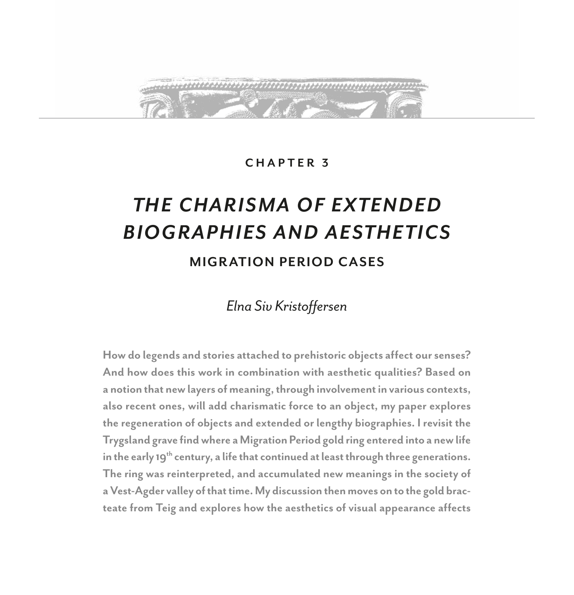

## **CHAPTER 3**

# *TH E C HARI SMA OF EXTEN DED BIOGRAPHIES AND AESTHETICS*

# **MIGR ATION PERIOD CASES**

# *Elna Siv Kristoffersen*

**How do legends and stories attached to prehistoric objects affect our senses? And how does this work in combination with aesthetic qualities? Based on a notion that new layers of meaning, through involvement in various contexts, also recent ones, will add charismatic force to an object, my paper explores the regeneration of objects and extended or lengthy biographies. I revisit the Trygsland grave find where a Migration Period gold ring entered into a new life in the early 19th century, a life that continued at least through three generations. The ring was reinterpreted, and accumulated new meanings in the society of a Vest-Agder valley of that time. My discussion then moves on to the gold bracteate from Teig and explores how the aesthetics of visual appearance affects**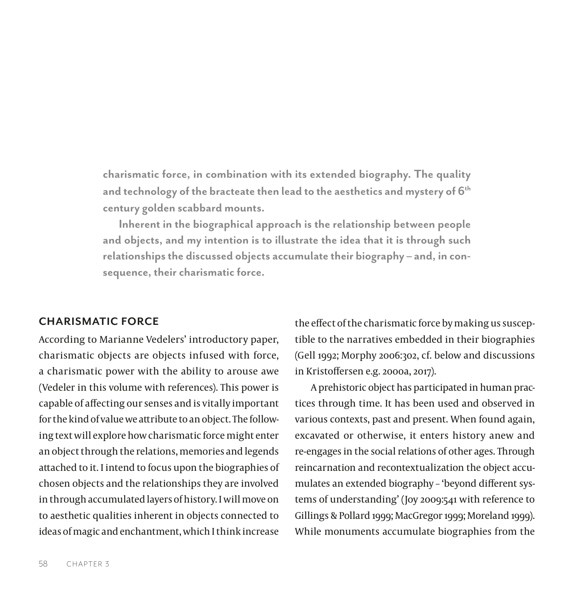**charismatic force, in combination with its extended biography. The quality and technology of the bracteate then lead to the aesthetics and mystery of 6th century golden scabbard mounts.**

**Inherent in the biographical approach is the relationship between people and objects, and my intention is to illustrate the idea that it is through such relationships the discussed objects accumulate their biography – and, in consequence, their charismatic force.**

## **CHARISMATIC FORCE**

According to Marianne Vedelers' introductory paper, charismatic objects are objects infused with force, a charismatic power with the ability to arouse awe (Vedeler in this volume with references). This power is capable of affecting our senses and is vitally important for the kind of value we attribute to an object. The following text will explore how charismatic force might enter an object through the relations, memories and legends attached to it. I intend to focus upon the biographies of chosen objects and the relationships they are involved in through accumulated layers of history. I will move on to aesthetic qualities inherent in objects connected to ideas of magic and enchantment, which I think increase

the effect of the charismatic force by making us susceptible to the narratives embedded in their biographies (Gell 1992; Morphy 2006:302, cf. below and discussions in Kristoffersen e.g. 2000a, 2017).

A prehistoric object has participated in human practices through time. It has been used and observed in various contexts, past and present. When found again, excavated or otherwise, it enters history anew and re-engages in the social relations of other ages. Through reincarnation and recontextualization the object accumulates an extended biography – 'beyond different systems of understanding' (Joy 2009:541 with reference to Gillings & Pollard 1999; MacGregor 1999; Moreland 1999). While monuments accumulate biographies from the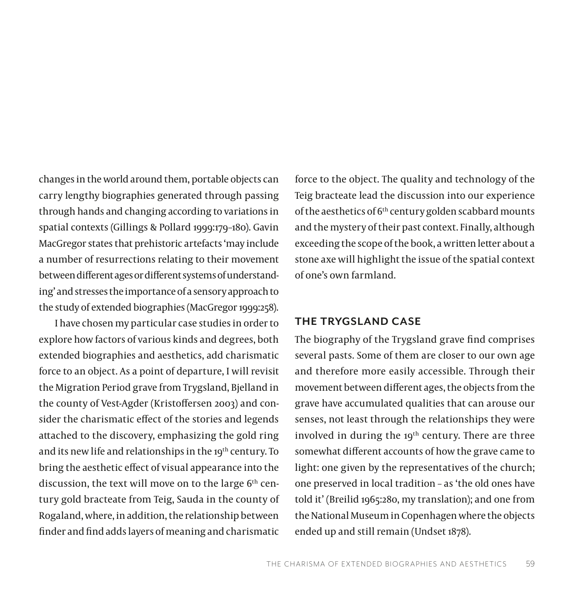changes in the world around them, portable objects can carry lengthy biographies generated through passing through hands and changing according to variations in spatial contexts (Gillings & Pollard 1999:179–180). Gavin MacGregor states that prehistoric artefacts 'may include a number of resurrections relating to their movement between different ages or different systems of understanding' and stresses the importance of a sensory approach to the study of extended biographies (MacGregor 1999:258).

I have chosen my particular case studies in order to explore how factors of various kinds and degrees, both extended biographies and aesthetics, add charismatic force to an object. As a point of departure, I will revisit the Migration Period grave from Trygsland, Bjelland in the county of Vest-Agder (Kristoffersen 2003) and consider the charismatic effect of the stories and legends attached to the discovery, emphasizing the gold ring and its new life and relationships in the 19<sup>th</sup> century. To bring the aesthetic effect of visual appearance into the discussion, the text will move on to the large  $6<sup>th</sup>$  century gold bracteate from Teig, Sauda in the county of Rogaland, where, in addition, the relationship between finder and find adds layers of meaning and charismatic

force to the object. The quality and technology of the Teig bracteate lead the discussion into our experience of the aesthetics of  $6<sup>th</sup>$  century golden scabbard mounts and the mystery of their past context. Finally, although exceeding the scope of the book, a written letter about a stone axe will highlight the issue of the spatial context of one's own farmland.

#### **THE TRYGSLAND CASE**

The biography of the Trygsland grave find comprises several pasts. Some of them are closer to our own age and therefore more easily accessible. Through their movement between different ages, the objects from the grave have accumulated qualities that can arouse our senses, not least through the relationships they were involved in during the 19<sup>th</sup> century. There are three somewhat different accounts of how the grave came to light: one given by the representatives of the church; one preserved in local tradition – as 'the old ones have told it' (Breilid 1965:280, my translation); and one from the National Museum in Copenhagen where the objects ended up and still remain (Undset 1878).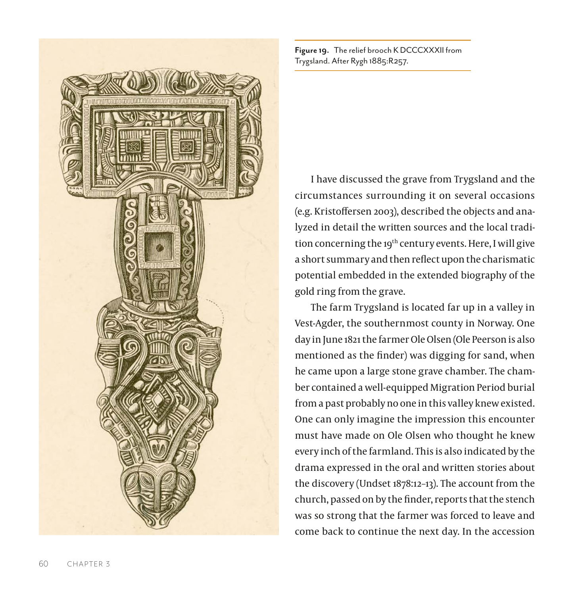

**Figure 19.** The relief brooch K DCCCXXXII from Trygsland. After Rygh 1885:R257.

I have discussed the grave from Trygsland and the circumstances surrounding it on several occasions (e.g. Kristoffersen 2003), described the objects and analyzed in detail the written sources and the local tradition concerning the 19<sup>th</sup> century events. Here, I will give a short summary and then reflect upon the charismatic potential embedded in the extended biography of the gold ring from the grave.

The farm Trygsland is located far up in a valley in Vest-Agder, the southernmost county in Norway. One day in June 1821 the farmer Ole Olsen (Ole Peerson is also mentioned as the finder) was digging for sand, when he came upon a large stone grave chamber. The chamber contained a well-equipped Migration Period burial from a past probably no one in this valley knew existed. One can only imagine the impression this encounter must have made on Ole Olsen who thought he knew every inch of the farmland. This is also indicated by the drama expressed in the oral and written stories about the discovery (Undset 1878:12–13). The account from the church, passed on by the finder, reports that the stench was so strong that the farmer was forced to leave and come back to continue the next day. In the accession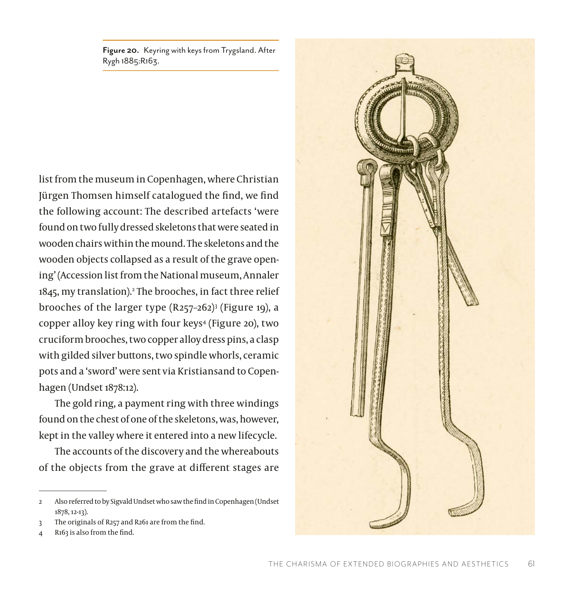**Figure 20.** Keyring with keys from Trygsland. After Rygh 1885:R163.

list from the museum in Copenhagen, where Christian Jürgen Thomsen himself catalogued the find, we find the following account: The described artefacts 'were found on two fully dressed skeletons that were seated in wooden chairs within the mound. The skeletons and the wooden objects collapsed as a result of the grave opening' (Accession list from the National museum, Annaler 1845, my translation).2 The brooches, in fact three relief brooches of the larger type (R257–262)3 (Figure 19), a copper alloy key ring with four keys4 (Figure 20), two cruciform brooches, two copper alloy dress pins, a clasp with gilded silver buttons, two spindle whorls, ceramic pots and a 'sword' were sent via Kristiansand to Copenhagen (Undset 1878:12).

The gold ring, a payment ring with three windings found on the chest of one of the skeletons, was, however, kept in the valley where it entered into a new lifecycle.

The accounts of the discovery and the whereabouts of the objects from the grave at different stages are



<sup>2</sup> Also referred to by Sigvald Undset who saw the find in Copenhagen (Undset 1878, 12-13).

<sup>3</sup> The originals of R257 and R261 are from the find.

R<sub>163</sub> is also from the find.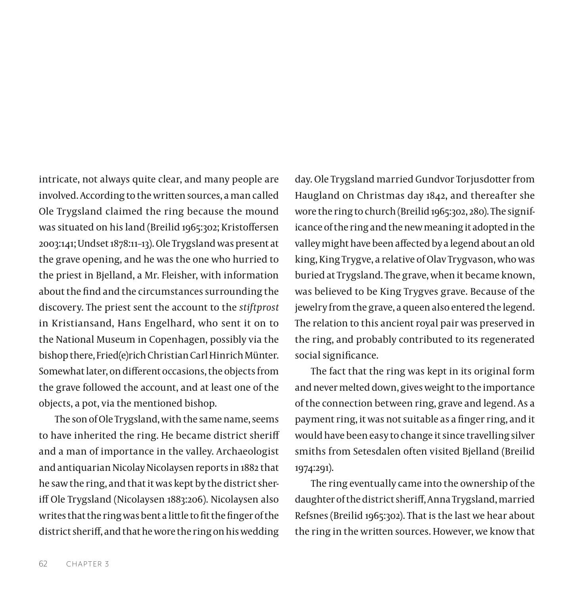intricate, not always quite clear, and many people are involved. According to the written sources, a man called Ole Trygsland claimed the ring because the mound was situated on his land (Breilid 1965:302; Kristoffersen 2003:141; Undset 1878:11–13). Ole Trygsland was present at the grave opening, and he was the one who hurried to the priest in Bjelland, a Mr. Fleisher, with information about the find and the circumstances surrounding the discovery. The priest sent the account to the *stiftprost* in Kristiansand, Hans Engelhard, who sent it on to the National Museum in Copenhagen, possibly via the bishop there, Fried(e)rich Christian Carl Hinrich Münter. Somewhat later, on different occasions, the objects from the grave followed the account, and at least one of the objects, a pot, via the mentioned bishop.

The son of Ole Trygsland, with the same name, seems to have inherited the ring. He became district sheriff and a man of importance in the valley. Archaeologist and antiquarian Nicolay Nicolaysen reports in 1882 that he saw the ring, and that it was kept by the district sheriff Ole Trygsland (Nicolaysen 1883:206). Nicolaysen also writes that the ring was bent a little to fit the finger of the district sheriff, and that he wore the ring on his wedding

day. Ole Trygsland married Gundvor Torjusdotter from Haugland on Christmas day 1842, and thereafter she wore the ring to church (Breilid 1965:302, 280). The significance of the ring and the new meaning it adopted in the valley might have been affected by a legend about an old king, King Trygve, a relative of Olav Trygvason, who was buried at Trygsland. The grave, when it became known, was believed to be King Trygves grave. Because of the jewelry from the grave, a queen also entered the legend. The relation to this ancient royal pair was preserved in the ring, and probably contributed to its regenerated social significance.

The fact that the ring was kept in its original form and never melted down, gives weight to the importance of the connection between ring, grave and legend. As a payment ring, it was not suitable as a finger ring, and it would have been easy to change it since travelling silver smiths from Setesdalen often visited Bjelland (Breilid 1974:291).

The ring eventually came into the ownership of the daughter of the district sheriff, Anna Trygsland, married Refsnes (Breilid 1965:302). That is the last we hear about the ring in the written sources. However, we know that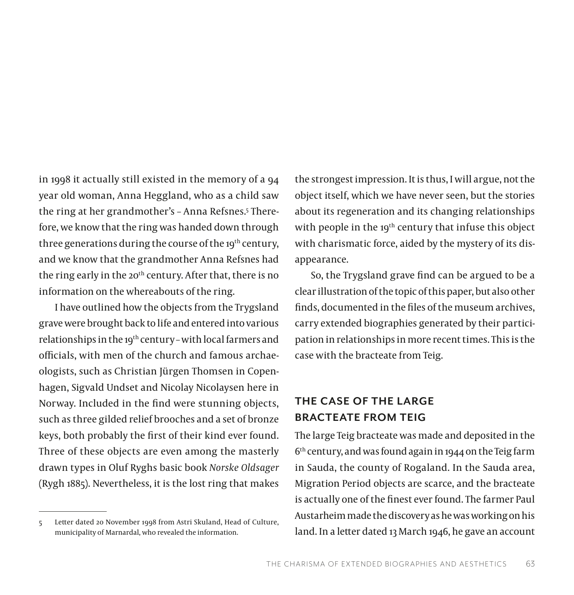in 1998 it actually still existed in the memory of a 94 year old woman, Anna Heggland, who as a child saw the ring at her grandmother's - Anna Refsnes.<sup>5</sup> Therefore, we know that the ring was handed down through three generations during the course of the 19<sup>th</sup> century, and we know that the grandmother Anna Refsnes had the ring early in the 20<sup>th</sup> century. After that, there is no information on the whereabouts of the ring.

I have outlined how the objects from the Trygsland grave were brought back to life and entered into various relationships in the 19th century – with local farmers and officials, with men of the church and famous archaeologists, such as Christian Jürgen Thomsen in Copenhagen, Sigvald Undset and Nicolay Nicolaysen here in Norway. Included in the find were stunning objects, such as three gilded relief brooches and a set of bronze keys, both probably the first of their kind ever found. Three of these objects are even among the masterly drawn types in Oluf Ryghs basic book *Norske Oldsager* (Rygh 1885). Nevertheless, it is the lost ring that makes

5 Letter dated 20 November 1998 from Astri Skuland, Head of Culture, municipality of Marnardal, who revealed the information.

the strongest impression. It is thus, I will argue, not the object itself, which we have never seen, but the stories about its regeneration and its changing relationships with people in the 19<sup>th</sup> century that infuse this object with charismatic force, aided by the mystery of its disappearance.

So, the Trygsland grave find can be argued to be a clear illustration of the topic of this paper, but also other finds, documented in the files of the museum archives, carry extended biographies generated by their participation in relationships in more recent times. This is the case with the bracteate from Teig.

# **THE CASE OF THE LARGE BRACTEATE FROM TEIG**

The large Teig bracteate was made and deposited in the  $6<sup>th</sup>$  century, and was found again in 1944 on the Teig farm in Sauda, the county of Rogaland. In the Sauda area, Migration Period objects are scarce, and the bracteate is actually one of the finest ever found. The farmer Paul Austarheim made the discovery as he was working on his land. In a letter dated 13 March 1946, he gave an account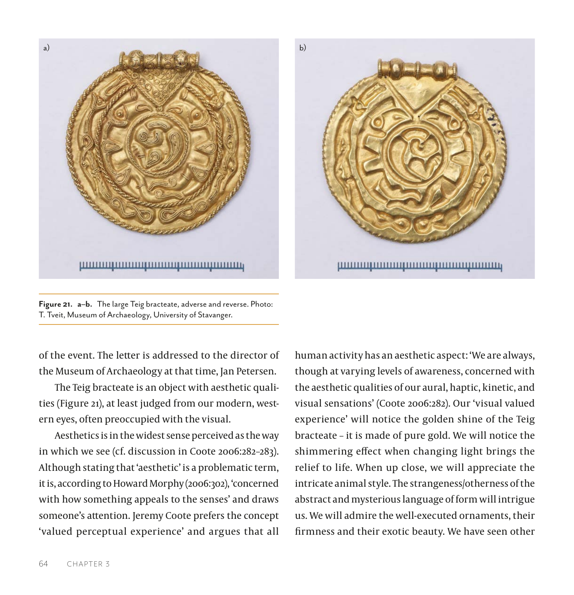



**Figure 21. a–b.** The large Teig bracteate, adverse and reverse. Photo: T. Tveit, Museum of Archaeology, University of Stavanger.

of the event. The letter is addressed to the director of the Museum of Archaeology at that time, Jan Petersen.

The Teig bracteate is an object with aesthetic qualities (Figure 21), at least judged from our modern, western eyes, often preoccupied with the visual.

Aesthetics is in the widest sense perceived as the way in which we see (cf. discussion in Coote 2006:282–283). Although stating that 'aesthetic' is a problematic term, it is, according to Howard Morphy (2006:302), 'concerned with how something appeals to the senses' and draws someone's attention. Jeremy Coote prefers the concept 'valued perceptual experience' and argues that all

human activity has an aesthetic aspect: 'We are always, though at varying levels of awareness, concerned with the aesthetic qualities of our aural, haptic, kinetic, and visual sensations' (Coote 2006:282). Our 'visual valued experience' will notice the golden shine of the Teig bracteate – it is made of pure gold. We will notice the shimmering effect when changing light brings the relief to life. When up close, we will appreciate the intricate animal style. The strangeness/otherness of the abstract and mysterious language of form will intrigue us. We will admire the well-executed ornaments, their firmness and their exotic beauty. We have seen other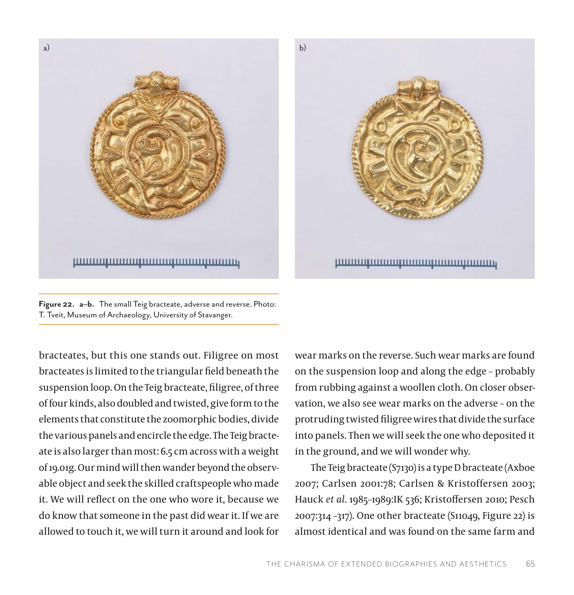



**Figure 22. a–b.** The small Teig bracteate, adverse and reverse. Photo: T. Tveit, Museum of Archaeology, University of Stavanger.

bracteates, but this one stands out. Filigree on most bracteates is limited to the triangular field beneath the suspension loop. On the Teig bracteate, filigree, of three of four kinds, also doubled and twisted, give form to the elements that constitute the zoomorphic bodies, divide the various panels and encircle the edge. The Teig bracteate is also larger than most: 6.5 cm across with a weight of 19.01g. Our mind will then wander beyond the observable object and seek the skilled craftspeople who made it. We will reflect on the one who wore it, because we do know that someone in the past did wear it. If we are allowed to touch it, we will turn it around and look for

wear marks on the reverse. Such wear marks are found on the suspension loop and along the edge – probably from rubbing against a woollen cloth. On closer observation, we also see wear marks on the adverse – on the protruding twisted filigree wires that divide the surface into panels. Then we will seek the one who deposited it in the ground, and we will wonder why.

The Teig bracteate (S7130) is a type D bracteate (Axboe 2007; Carlsen 2001:78; Carlsen & Kristoffersen 2003; Hauck *et al*. 1985–1989:IK 536; Kristoffersen 2010; Pesch 2007:314 –317). One other bracteate (S11049, Figure 22) is almost identical and was found on the same farm and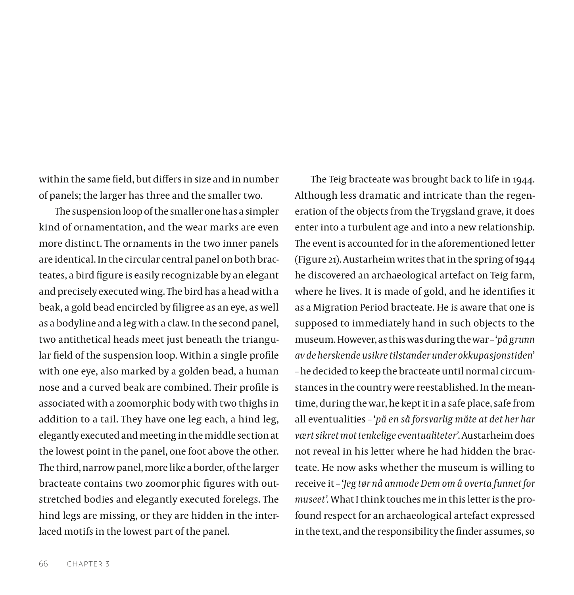within the same field, but differs in size and in number of panels; the larger has three and the smaller two.

The suspension loop of the smaller one has a simpler kind of ornamentation, and the wear marks are even more distinct. The ornaments in the two inner panels are identical. In the circular central panel on both bracteates, a bird figure is easily recognizable by an elegant and precisely executed wing. The bird has a head with a beak, a gold bead encircled by filigree as an eye, as well as a bodyline and a leg with a claw. In the second panel, two antithetical heads meet just beneath the triangular field of the suspension loop. Within a single profile with one eye, also marked by a golden bead, a human nose and a curved beak are combined. Their profile is associated with a zoomorphic body with two thighs in addition to a tail. They have one leg each, a hind leg, elegantly executed and meeting in the middle section at the lowest point in the panel, one foot above the other. The third, narrow panel, more like a border, of the larger bracteate contains two zoomorphic figures with outstretched bodies and elegantly executed forelegs. The hind legs are missing, or they are hidden in the interlaced motifs in the lowest part of the panel.

Although less dramatic and intricate than the regeneration of the objects from the Trygsland grave, it does enter into a turbulent age and into a new relationship. The event is accounted for in the aforementioned letter (Figure 21). Austarheim writes that in the spring of 1944 he discovered an archaeological artefact on Teig farm, where he lives. It is made of gold, and he identifies it as a Migration Period bracteate. He is aware that one is supposed to immediately hand in such objects to the museum. However, as this was during the war – '*på grunn av de herskende usikre tilstander under okkupasjonstiden*' – he decided to keep the bracteate until normal circumstances in the country were reestablished. In the meantime, during the war, he kept it in a safe place, safe from all eventualities – '*på en så forsvarlig måte at det her har vært sikret mot tenkelige eventualiteter'*. Austarheim does not reveal in his letter where he had hidden the bracteate. He now asks whether the museum is willing to receive it – '*Jeg tør nå anmode Dem om å overta funnet for museet'.* What I think touches me in this letter is the profound respect for an archaeological artefact expressed in the text, and the responsibility the finder assumes, so

The Teig bracteate was brought back to life in 1944.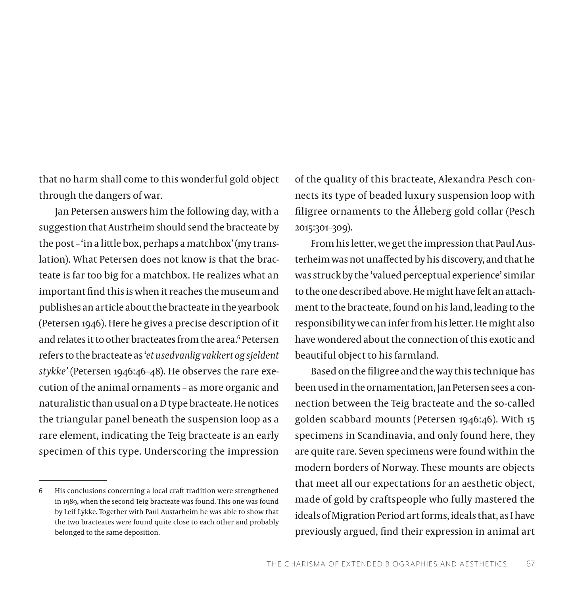that no harm shall come to this wonderful gold object through the dangers of war.

Jan Petersen answers him the following day, with a suggestion that Austrheim should send the bracteate by the post – 'in a little box, perhaps a matchbox' (my translation). What Petersen does not know is that the bracteate is far too big for a matchbox. He realizes what an important find this is when it reaches the museum and publishes an article about the bracteate in the yearbook (Petersen 1946). Here he gives a precise description of it and relates it to other bracteates from the area.<sup>6</sup> Petersen refers to the bracteate as '*et usedvanlig vakkert og sjeldent stykke'* (Petersen 1946:46–48). He observes the rare execution of the animal ornaments – as more organic and naturalistic than usual on a D type bracteate. He notices the triangular panel beneath the suspension loop as a rare element, indicating the Teig bracteate is an early specimen of this type. Underscoring the impression

of the quality of this bracteate, Alexandra Pesch connects its type of beaded luxury suspension loop with filigree ornaments to the Ålleberg gold collar (Pesch 2015:301–309).

From his letter, we get the impression that Paul Austerheim was not unaffected by his discovery, and that he was struck by the 'valued perceptual experience' similar to the one described above. He might have felt an attachment to the bracteate, found on his land, leading to the responsibility we can infer from his letter. He might also have wondered about the connection of this exotic and beautiful object to his farmland.

Based on the filigree and the way this technique has been used in the ornamentation, Jan Petersen sees a connection between the Teig bracteate and the so-called golden scabbard mounts (Petersen 1946:46). With 15 specimens in Scandinavia, and only found here, they are quite rare. Seven specimens were found within the modern borders of Norway. These mounts are objects that meet all our expectations for an aesthetic object, made of gold by craftspeople who fully mastered the ideals of Migration Period art forms, ideals that, as I have previously argued, find their expression in animal art

<sup>6</sup> His conclusions concerning a local craft tradition were strengthened in 1989, when the second Teig bracteate was found. This one was found by Leif Lykke. Together with Paul Austarheim he was able to show that the two bracteates were found quite close to each other and probably belonged to the same deposition.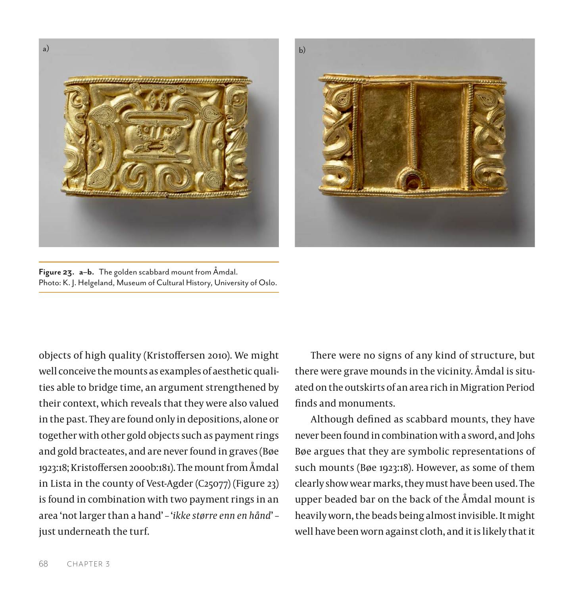



**Figure 23. a–b.** The golden scabbard mount from Åmdal. Photo: K. J. Helgeland, Museum of Cultural History, University of Oslo.

objects of high quality (Kristoffersen 2010). We might well conceive the mounts as examples of aesthetic qualities able to bridge time, an argument strengthened by their context, which reveals that they were also valued in the past. They are found only in depositions, alone or together with other gold objects such as payment rings and gold bracteates, and are never found in graves (Bøe 1923:18; Kristoffersen 2000b:181). The mount from Åmdal in Lista in the county of Vest-Agder (C25077) (Figure 23) is found in combination with two payment rings in an area 'not larger than a hand' – '*ikke større enn en hånd*' – just underneath the turf.

There were no signs of any kind of structure, but there were grave mounds in the vicinity. Åmdal is situated on the outskirts of an area rich in Migration Period finds and monuments.

Although defined as scabbard mounts, they have never been found in combination with a sword, and Johs Bøe argues that they are symbolic representations of such mounts (Bøe 1923:18). However, as some of them clearly show wear marks, they must have been used. The upper beaded bar on the back of the Åmdal mount is heavily worn, the beads being almost invisible. It might well have been worn against cloth, and it is likely that it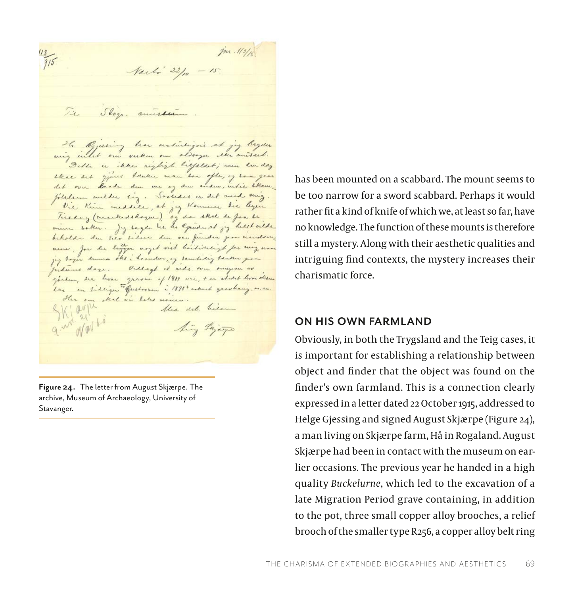jn. 113/10  $\frac{1}{15}$ Narté 22/10 - 15. Tie Slog. anniskim H. Opening her activitizers at jeg bryder aning intel our verken our alsoger eller anisact. Bette in ikke night liefaldet; were him day that det gjust betuker man don ofte, og love goes det over Baade den me og den anden, intie skam. filedem aucher sig. Saaldes er det and mig. Vie Kim meddele, at jeg Kommer hie legen Tirsday (anachedeloque), og da skal de for de mim saker. Jy sagde he he equide at jy heest vilde beholder du sier sideer den var funden pour mendom anne, for du ligger woyet vist hoitideigt for my non jeg togen duma oks i homder, og somtidig tanker por Judimes days. Vidlagt it rids over overgrave as garden, der hvar graven of 1914 var, + er studet hvar oksen Las en sidliger "Gustovan i 1898" andmed gravbang. m. m. Her am skel si beles moure. Kiarpe the deb. hier hing Grippo

**Figure 24.** The letter from August Skjærpe. The archive, Museum of Archaeology, University of Stavanger.

has been mounted on a scabbard. The mount seems to be too narrow for a sword scabbard. Perhaps it would rather fit a kind of knife of which we, at least so far, have no knowledge. The function of these mounts is therefore still a mystery. Along with their aesthetic qualities and intriguing find contexts, the mystery increases their charismatic force.

#### **ON HIS OWN FARMLAND**

Obviously, in both the Trygsland and the Teig cases, it is important for establishing a relationship between object and finder that the object was found on the finder's own farmland. This is a connection clearly expressed in a letter dated 22 October 1915, addressed to Helge Gjessing and signed August Skjærpe (Figure 24), a man living on Skjærpe farm, Hå in Rogaland. August Skjærpe had been in contact with the museum on earlier occasions. The previous year he handed in a high quality *Buckelurne*, which led to the excavation of a late Migration Period grave containing, in addition to the pot, three small copper alloy brooches, a relief brooch of the smaller type R256, a copper alloy belt ring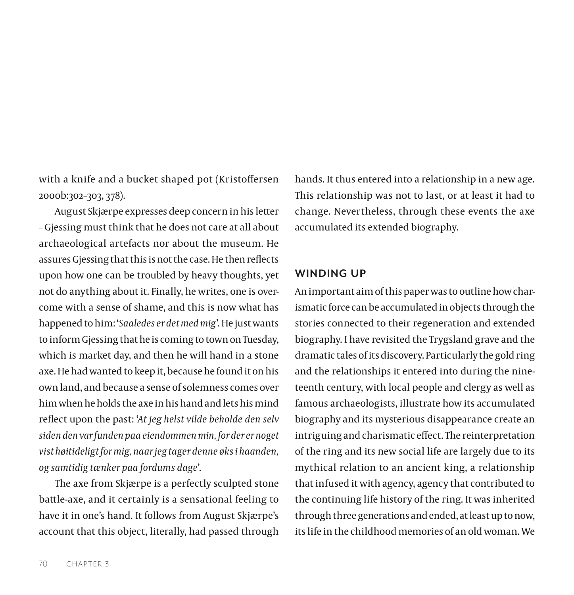with a knife and a bucket shaped pot (Kristoffersen 2000b:302–303, 378).

August Skjærpe expresses deep concern in his letter – Gjessing must think that he does not care at all about archaeological artefacts nor about the museum. He assures Gjessing that this is not the case. He then reflects upon how one can be troubled by heavy thoughts, yet not do anything about it. Finally, he writes, one is overcome with a sense of shame, and this is now what has happened to him: '*Saaledes er det med mig*'. He just wants to inform Gjessing that he is coming to town on Tuesday, which is market day, and then he will hand in a stone axe. He had wanted to keep it, because he found it on his own land, and because a sense of solemness comes over him when he holds the axe in his hand and lets his mind reflect upon the past: '*At jeg helst vilde beholde den selv siden den var funden paa eiendommen min, for der er noget vist høitideligt for mig, naar jeg tager denne øks i haanden, og samtidig tænker paa fordums dage*'.

The axe from Skjærpe is a perfectly sculpted stone battle-axe, and it certainly is a sensational feeling to have it in one's hand. It follows from August Skjærpe's account that this object, literally, had passed through hands. It thus entered into a relationship in a new age. This relationship was not to last, or at least it had to change. Nevertheless, through these events the axe accumulated its extended biography.

## **WINDING UP**

An important aim of this paper was to outline how charismatic force can be accumulated in objects through the stories connected to their regeneration and extended biography. I have revisited the Trygsland grave and the dramatic tales of its discovery. Particularly the gold ring and the relationships it entered into during the nineteenth century, with local people and clergy as well as famous archaeologists, illustrate how its accumulated biography and its mysterious disappearance create an intriguing and charismatic effect. The reinterpretation of the ring and its new social life are largely due to its mythical relation to an ancient king, a relationship that infused it with agency, agency that contributed to the continuing life history of the ring. It was inherited through three generations and ended, at least up to now, its life in the childhood memories of an old woman. We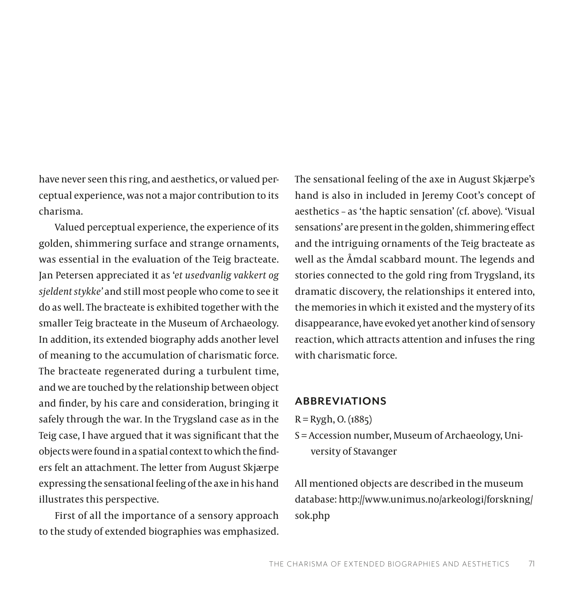have never seen this ring, and aesthetics, or valued perceptual experience, was not a major contribution to its charisma.

Valued perceptual experience, the experience of its golden, shimmering surface and strange ornaments, was essential in the evaluation of the Teig bracteate. Jan Petersen appreciated it as '*et usedvanlig vakkert og sjeldent stykke'* and still most people who come to see it do as well. The bracteate is exhibited together with the smaller Teig bracteate in the Museum of Archaeology. In addition, its extended biography adds another level of meaning to the accumulation of charismatic force. The bracteate regenerated during a turbulent time, and we are touched by the relationship between object and finder, by his care and consideration, bringing it safely through the war. In the Trygsland case as in the Teig case, I have argued that it was significant that the objects were found in a spatial context to which the finders felt an attachment. The letter from August Skjærpe expressing the sensational feeling of the axe in his hand illustrates this perspective.

First of all the importance of a sensory approach to the study of extended biographies was emphasized. The sensational feeling of the axe in August Skjærpe's hand is also in included in Jeremy Coot's concept of aesthetics – as 'the haptic sensation' (cf. above). 'Visual sensations' are present in the golden, shimmering effect and the intriguing ornaments of the Teig bracteate as well as the Åmdal scabbard mount. The legends and stories connected to the gold ring from Trygsland, its dramatic discovery, the relationships it entered into, the memories in which it existed and the mystery of its disappearance, have evoked yet another kind of sensory reaction, which attracts attention and infuses the ring with charismatic force.

## **ABBREVIATIONS**

- $R = Rygh$ , O. (1885)
- S = Accession number, Museum of Archaeology, University of Stavanger

All mentioned objects are described in the museum database: [http://www.unimus.no/arkeologi/forskning/](http://www.unimus.no/arkeologi/forskning/sok.php) [sok.php](http://www.unimus.no/arkeologi/forskning/sok.php)